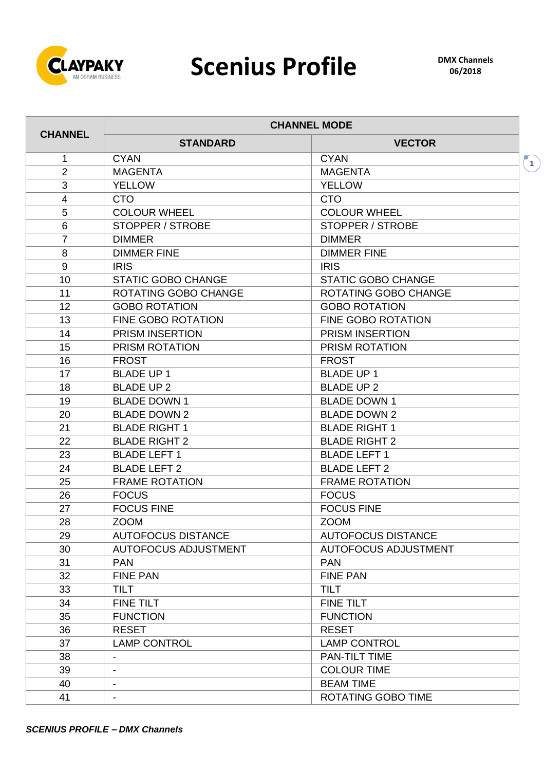

## Scenius Profile **DMX Channels**

|                         | <b>CHANNEL MODE</b>         |                             |                    |  |  |  |  |  |  |  |
|-------------------------|-----------------------------|-----------------------------|--------------------|--|--|--|--|--|--|--|
| <b>CHANNEL</b>          | <b>STANDARD</b>             | <b>VECTOR</b>               |                    |  |  |  |  |  |  |  |
| 1                       | <b>CYAN</b>                 | <b>CYAN</b>                 | $\left( 1 \right)$ |  |  |  |  |  |  |  |
| $\overline{2}$          | <b>MAGENTA</b>              | <b>MAGENTA</b>              |                    |  |  |  |  |  |  |  |
| 3                       | <b>YELLOW</b>               | <b>YELLOW</b>               |                    |  |  |  |  |  |  |  |
| $\overline{\mathbf{4}}$ | <b>CTO</b>                  | <b>CTO</b>                  |                    |  |  |  |  |  |  |  |
| 5                       | <b>COLOUR WHEEL</b>         | <b>COLOUR WHEEL</b>         |                    |  |  |  |  |  |  |  |
| 6                       | <b>STOPPER / STROBE</b>     | <b>STOPPER / STROBE</b>     |                    |  |  |  |  |  |  |  |
| $\overline{7}$          | <b>DIMMER</b>               | <b>DIMMER</b>               |                    |  |  |  |  |  |  |  |
| 8                       | <b>DIMMER FINE</b>          | <b>DIMMER FINE</b>          |                    |  |  |  |  |  |  |  |
| 9                       | <b>IRIS</b>                 | <b>IRIS</b>                 |                    |  |  |  |  |  |  |  |
| 10                      | <b>STATIC GOBO CHANGE</b>   | <b>STATIC GOBO CHANGE</b>   |                    |  |  |  |  |  |  |  |
| 11                      | ROTATING GOBO CHANGE        | ROTATING GOBO CHANGE        |                    |  |  |  |  |  |  |  |
| 12                      | <b>GOBO ROTATION</b>        | <b>GOBO ROTATION</b>        |                    |  |  |  |  |  |  |  |
| 13                      | <b>FINE GOBO ROTATION</b>   | <b>FINE GOBO ROTATION</b>   |                    |  |  |  |  |  |  |  |
| 14                      | PRISM INSERTION             | <b>PRISM INSERTION</b>      |                    |  |  |  |  |  |  |  |
| 15                      | PRISM ROTATION              | PRISM ROTATION              |                    |  |  |  |  |  |  |  |
| 16                      | <b>FROST</b>                | <b>FROST</b>                |                    |  |  |  |  |  |  |  |
| 17                      | <b>BLADE UP 1</b>           | <b>BLADE UP 1</b>           |                    |  |  |  |  |  |  |  |
| 18                      | <b>BLADE UP 2</b>           | <b>BLADE UP 2</b>           |                    |  |  |  |  |  |  |  |
| 19                      | <b>BLADE DOWN 1</b>         | <b>BLADE DOWN 1</b>         |                    |  |  |  |  |  |  |  |
| 20                      | <b>BLADE DOWN 2</b>         | <b>BLADE DOWN 2</b>         |                    |  |  |  |  |  |  |  |
| 21                      | <b>BLADE RIGHT 1</b>        | <b>BLADE RIGHT 1</b>        |                    |  |  |  |  |  |  |  |
| 22                      | <b>BLADE RIGHT 2</b>        | <b>BLADE RIGHT 2</b>        |                    |  |  |  |  |  |  |  |
| 23                      | <b>BLADE LEFT 1</b>         | <b>BLADE LEFT 1</b>         |                    |  |  |  |  |  |  |  |
| 24                      | <b>BLADE LEFT 2</b>         | <b>BLADE LEFT 2</b>         |                    |  |  |  |  |  |  |  |
| 25                      | <b>FRAME ROTATION</b>       | <b>FRAME ROTATION</b>       |                    |  |  |  |  |  |  |  |
| 26                      | <b>FOCUS</b>                | <b>FOCUS</b>                |                    |  |  |  |  |  |  |  |
| 27                      | <b>FOCUS FINE</b>           | <b>FOCUS FINE</b>           |                    |  |  |  |  |  |  |  |
| 28                      | <b>ZOOM</b>                 | <b>ZOOM</b>                 |                    |  |  |  |  |  |  |  |
| 29                      | <b>AUTOFOCUS DISTANCE</b>   | <b>AUTOFOCUS DISTANCE</b>   |                    |  |  |  |  |  |  |  |
| 30                      | <b>AUTOFOCUS ADJUSTMENT</b> | <b>AUTOFOCUS ADJUSTMENT</b> |                    |  |  |  |  |  |  |  |
| 31                      | <b>PAN</b>                  | <b>PAN</b>                  |                    |  |  |  |  |  |  |  |
| 32                      | <b>FINE PAN</b>             | <b>FINE PAN</b>             |                    |  |  |  |  |  |  |  |
| 33                      | <b>TILT</b>                 | <b>TILT</b>                 |                    |  |  |  |  |  |  |  |
| 34                      | <b>FINE TILT</b>            | <b>FINE TILT</b>            |                    |  |  |  |  |  |  |  |
| 35                      | <b>FUNCTION</b>             | <b>FUNCTION</b>             |                    |  |  |  |  |  |  |  |
| 36                      | <b>RESET</b>                | <b>RESET</b>                |                    |  |  |  |  |  |  |  |
| 37                      | <b>LAMP CONTROL</b>         | <b>LAMP CONTROL</b>         |                    |  |  |  |  |  |  |  |
| 38                      |                             | <b>PAN-TILT TIME</b>        |                    |  |  |  |  |  |  |  |
| 39                      |                             | <b>COLOUR TIME</b>          |                    |  |  |  |  |  |  |  |
| 40                      |                             | <b>BEAM TIME</b>            |                    |  |  |  |  |  |  |  |
| 41                      |                             | ROTATING GOBO TIME          |                    |  |  |  |  |  |  |  |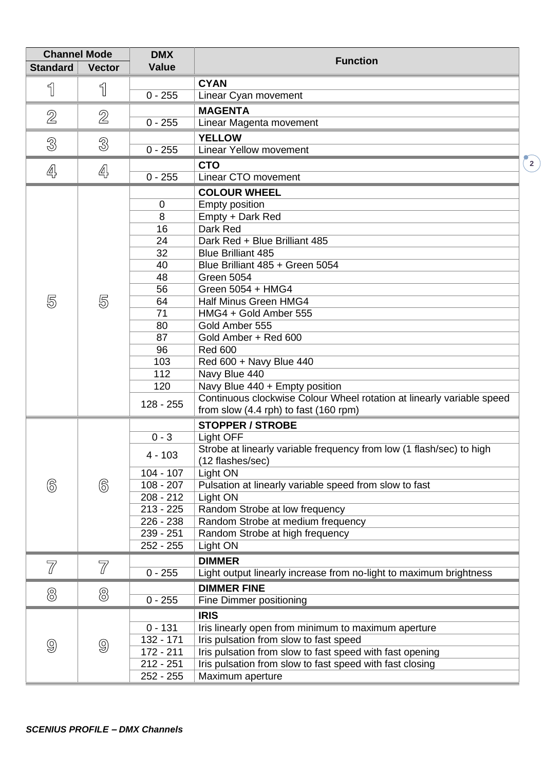| <b>Channel Mode</b><br><b>DMX</b> |               |              |                                                                       |                                                 |  |  |  |  |
|-----------------------------------|---------------|--------------|-----------------------------------------------------------------------|-------------------------------------------------|--|--|--|--|
| <b>Standard</b>                   | <b>Vector</b> | <b>Value</b> | <b>Function</b>                                                       |                                                 |  |  |  |  |
|                                   |               |              | <b>CYAN</b>                                                           |                                                 |  |  |  |  |
| 1                                 | ျ             | $0 - 255$    | Linear Cyan movement                                                  |                                                 |  |  |  |  |
|                                   |               |              | <b>MAGENTA</b>                                                        |                                                 |  |  |  |  |
| $\mathbb{Z}$                      | 2             | $0 - 255$    | Linear Magenta movement                                               |                                                 |  |  |  |  |
|                                   |               |              | <b>YELLOW</b>                                                         |                                                 |  |  |  |  |
| 3                                 | 3             | $0 - 255$    | <b>Linear Yellow movement</b>                                         |                                                 |  |  |  |  |
|                                   |               |              |                                                                       |                                                 |  |  |  |  |
| 4                                 | 4             |              | <b>CTO</b>                                                            | $\left( \begin{array}{c} 2 \end{array} \right)$ |  |  |  |  |
|                                   |               | $0 - 255$    | Linear CTO movement                                                   |                                                 |  |  |  |  |
|                                   |               |              | <b>COLOUR WHEEL</b>                                                   |                                                 |  |  |  |  |
|                                   |               | $\mathbf 0$  | <b>Empty position</b>                                                 |                                                 |  |  |  |  |
|                                   |               | 8            | Empty + Dark Red                                                      |                                                 |  |  |  |  |
|                                   |               | 16           | Dark Red                                                              |                                                 |  |  |  |  |
|                                   |               | 24           | Dark Red + Blue Brilliant 485                                         |                                                 |  |  |  |  |
|                                   |               | 32           | <b>Blue Brilliant 485</b>                                             |                                                 |  |  |  |  |
|                                   |               | 40           | Blue Brilliant 485 + Green 5054                                       |                                                 |  |  |  |  |
|                                   |               | 48<br>56     | <b>Green 5054</b><br>Green 5054 + HMG4                                |                                                 |  |  |  |  |
| 5                                 | 5             | 64           | Half Minus Green HMG4                                                 |                                                 |  |  |  |  |
|                                   |               | 71           | HMG4 + Gold Amber 555                                                 |                                                 |  |  |  |  |
|                                   |               | 80           | Gold Amber 555                                                        |                                                 |  |  |  |  |
|                                   |               | 87           | Gold Amber + Red 600                                                  |                                                 |  |  |  |  |
|                                   |               | 96           | <b>Red 600</b>                                                        |                                                 |  |  |  |  |
|                                   |               | 103          | Red 600 + Navy Blue 440                                               |                                                 |  |  |  |  |
|                                   |               | 112          | Navy Blue 440                                                         |                                                 |  |  |  |  |
|                                   |               | 120          | Navy Blue 440 + Empty position                                        |                                                 |  |  |  |  |
|                                   |               |              | Continuous clockwise Colour Wheel rotation at linearly variable speed |                                                 |  |  |  |  |
|                                   |               | $128 - 255$  | from slow (4.4 rph) to fast (160 rpm)                                 |                                                 |  |  |  |  |
|                                   |               |              | <b>STOPPER / STROBE</b>                                               |                                                 |  |  |  |  |
|                                   |               | $0 - 3$      | Light OFF                                                             |                                                 |  |  |  |  |
|                                   |               |              | Strobe at linearly variable frequency from low (1 flash/sec) to high  |                                                 |  |  |  |  |
|                                   |               | $4 - 103$    | (12 flashes/sec)                                                      |                                                 |  |  |  |  |
|                                   |               | $104 - 107$  | Light ON                                                              |                                                 |  |  |  |  |
| 6                                 | 6             | $108 - 207$  | Pulsation at linearly variable speed from slow to fast                |                                                 |  |  |  |  |
|                                   |               | $208 - 212$  | Light ON                                                              |                                                 |  |  |  |  |
|                                   |               | $213 - 225$  | Random Strobe at low frequency                                        |                                                 |  |  |  |  |
|                                   |               | 226 - 238    | Random Strobe at medium frequency                                     |                                                 |  |  |  |  |
|                                   |               | 239 - 251    | Random Strobe at high frequency                                       |                                                 |  |  |  |  |
|                                   |               | 252 - 255    | Light ON                                                              |                                                 |  |  |  |  |
| 77                                | 77            |              | <b>DIMMER</b>                                                         |                                                 |  |  |  |  |
|                                   |               | $0 - 255$    | Light output linearly increase from no-light to maximum brightness    |                                                 |  |  |  |  |
|                                   |               |              | <b>DIMMER FINE</b>                                                    |                                                 |  |  |  |  |
| 8                                 | 8             | $0 - 255$    | Fine Dimmer positioning                                               |                                                 |  |  |  |  |
|                                   |               |              | <b>IRIS</b>                                                           |                                                 |  |  |  |  |
|                                   |               | $0 - 131$    | Iris linearly open from minimum to maximum aperture                   |                                                 |  |  |  |  |
|                                   |               | 132 - 171    | Iris pulsation from slow to fast speed                                |                                                 |  |  |  |  |
| 9                                 | 9             | 172 - 211    | Iris pulsation from slow to fast speed with fast opening              |                                                 |  |  |  |  |
|                                   |               | $212 - 251$  | Iris pulsation from slow to fast speed with fast closing              |                                                 |  |  |  |  |
|                                   |               | 252 - 255    | Maximum aperture                                                      |                                                 |  |  |  |  |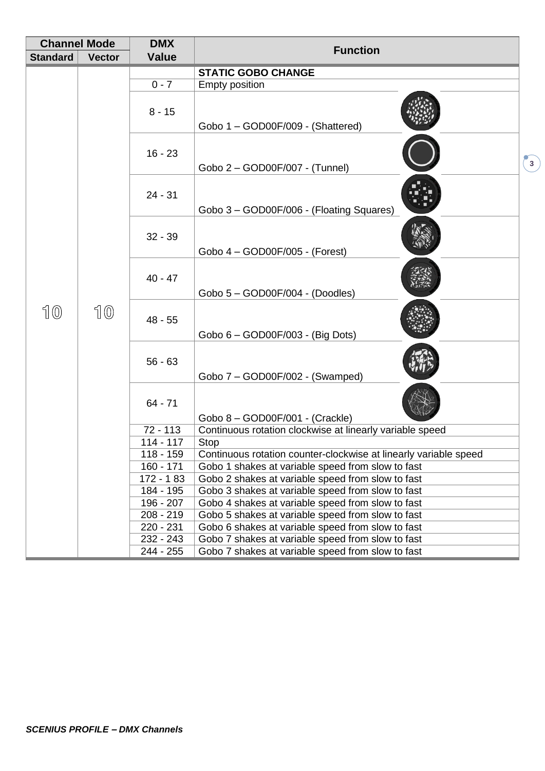| <b>Channel Mode</b> |               | <b>DMX</b>             | <b>Function</b>                                                                                        |               |  |  |  |  |
|---------------------|---------------|------------------------|--------------------------------------------------------------------------------------------------------|---------------|--|--|--|--|
| <b>Standard</b>     | <b>Vector</b> | <b>Value</b>           |                                                                                                        |               |  |  |  |  |
|                     |               |                        | <b>STATIC GOBO CHANGE</b>                                                                              |               |  |  |  |  |
|                     |               | $0 - 7$                | <b>Empty position</b>                                                                                  |               |  |  |  |  |
|                     |               | $8 - 15$               | Gobo 1 - GOD00F/009 - (Shattered)                                                                      |               |  |  |  |  |
|                     |               | $16 - 23$              | Gobo 2 - GOD00F/007 - (Tunnel)                                                                         | $\binom{3}{}$ |  |  |  |  |
|                     |               | $24 - 31$              | Gobo 3 - GOD00F/006 - (Floating Squares)                                                               |               |  |  |  |  |
|                     |               | $32 - 39$              | Gobo 4 - GOD00F/005 - (Forest)                                                                         |               |  |  |  |  |
|                     |               | $40 - 47$              | Gobo 5 - GOD00F/004 - (Doodles)                                                                        |               |  |  |  |  |
| 10                  | 10            | $48 - 55$              | Gobo 6 - GOD00F/003 - (Big Dots)                                                                       |               |  |  |  |  |
|                     |               | $56 - 63$              | Gobo 7 - GOD00F/002 - (Swamped)                                                                        |               |  |  |  |  |
|                     |               | $64 - 71$              | Gobo 8 - GOD00F/001 - (Crackle)                                                                        |               |  |  |  |  |
|                     |               | $72 - 113$             | Continuous rotation clockwise at linearly variable speed                                               |               |  |  |  |  |
|                     |               | 114 - 117              | <b>Stop</b>                                                                                            |               |  |  |  |  |
|                     |               | 118 - 159              | Continuous rotation counter-clockwise at linearly variable speed                                       |               |  |  |  |  |
|                     |               | $160 - 171$            | Gobo 1 shakes at variable speed from slow to fast                                                      |               |  |  |  |  |
|                     |               | 172 - 183<br>184 - 195 | Gobo 2 shakes at variable speed from slow to fast<br>Gobo 3 shakes at variable speed from slow to fast |               |  |  |  |  |
|                     |               | 196 - 207              | Gobo 4 shakes at variable speed from slow to fast                                                      |               |  |  |  |  |
|                     |               | 208 - 219              | Gobo 5 shakes at variable speed from slow to fast                                                      |               |  |  |  |  |
|                     |               | 220 - 231              | Gobo 6 shakes at variable speed from slow to fast                                                      |               |  |  |  |  |
|                     |               | 232 - 243              | Gobo 7 shakes at variable speed from slow to fast                                                      |               |  |  |  |  |
|                     |               | 244 - 255              | Gobo 7 shakes at variable speed from slow to fast                                                      |               |  |  |  |  |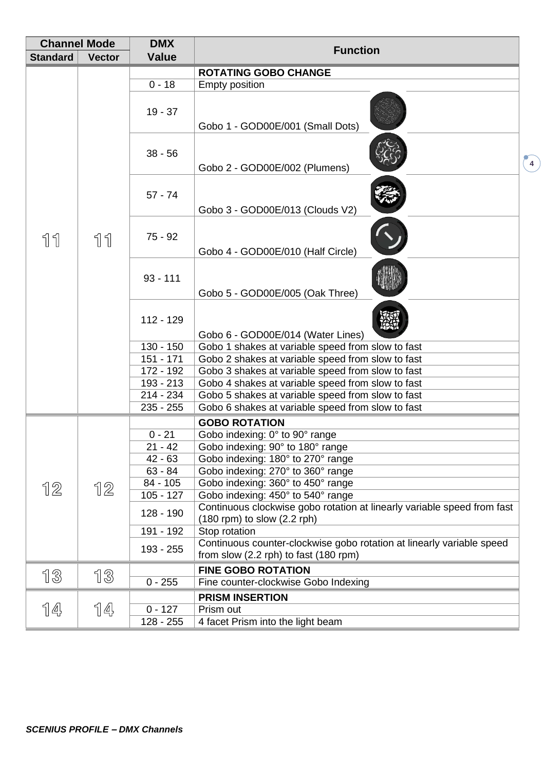| <b>Channel Mode</b><br><b>DMX</b> |               |                        | <b>Function</b>                                                                                                |                         |  |  |  |  |
|-----------------------------------|---------------|------------------------|----------------------------------------------------------------------------------------------------------------|-------------------------|--|--|--|--|
| <b>Standard</b>                   | <b>Vector</b> | <b>Value</b>           |                                                                                                                |                         |  |  |  |  |
|                                   |               |                        | <b>ROTATING GOBO CHANGE</b>                                                                                    |                         |  |  |  |  |
|                                   |               | $0 - 18$               | <b>Empty position</b>                                                                                          |                         |  |  |  |  |
|                                   |               | $19 - 37$              | Gobo 1 - GOD00E/001 (Small Dots)                                                                               |                         |  |  |  |  |
|                                   |               | $38 - 56$              | Gobo 2 - GOD00E/002 (Plumens)                                                                                  | $\overline{\mathbf{4}}$ |  |  |  |  |
|                                   |               | $57 - 74$              | Gobo 3 - GOD00E/013 (Clouds V2)                                                                                |                         |  |  |  |  |
| 11                                | 11            | $75 - 92$              | Gobo 4 - GOD00E/010 (Half Circle)                                                                              |                         |  |  |  |  |
|                                   |               | $93 - 111$             | Gobo 5 - GOD00E/005 (Oak Three)                                                                                |                         |  |  |  |  |
|                                   |               | 112 - 129              | Gobo 6 - GOD00E/014 (Water Lines)                                                                              |                         |  |  |  |  |
|                                   |               | $130 - 150$            | Gobo 1 shakes at variable speed from slow to fast                                                              |                         |  |  |  |  |
|                                   |               | $151 - 171$            | Gobo 2 shakes at variable speed from slow to fast                                                              |                         |  |  |  |  |
|                                   |               | 172 - 192              | Gobo 3 shakes at variable speed from slow to fast                                                              |                         |  |  |  |  |
|                                   |               | 193 - 213<br>214 - 234 | Gobo 4 shakes at variable speed from slow to fast<br>Gobo 5 shakes at variable speed from slow to fast         |                         |  |  |  |  |
|                                   |               | $235 - 255$            | Gobo 6 shakes at variable speed from slow to fast                                                              |                         |  |  |  |  |
|                                   |               |                        | <b>GOBO ROTATION</b>                                                                                           |                         |  |  |  |  |
|                                   |               | $0 - 21$               | Gobo indexing: 0° to 90° range                                                                                 |                         |  |  |  |  |
|                                   |               | $21 - 42$              | Gobo indexing: 90° to 180° range                                                                               |                         |  |  |  |  |
|                                   |               | $42 - 63$              | Gobo indexing: 180° to 270° range                                                                              |                         |  |  |  |  |
|                                   |               | $63 - 84$              | Gobo indexing: 270° to 360° range                                                                              |                         |  |  |  |  |
| 12                                | 12            | 84 - 105               | Gobo indexing: 360° to 450° range                                                                              |                         |  |  |  |  |
|                                   |               | $105 - 127$            | Gobo indexing: 450° to 540° range                                                                              |                         |  |  |  |  |
|                                   |               | 128 - 190              | Continuous clockwise gobo rotation at linearly variable speed from fast<br>$(180$ rpm) to slow $(2.2$ rph)     |                         |  |  |  |  |
|                                   |               | 191 - 192              | Stop rotation                                                                                                  |                         |  |  |  |  |
|                                   |               | 193 - 255              | Continuous counter-clockwise gobo rotation at linearly variable speed<br>from slow (2.2 rph) to fast (180 rpm) |                         |  |  |  |  |
|                                   |               |                        | <b>FINE GOBO ROTATION</b>                                                                                      |                         |  |  |  |  |
| 13                                | 13            | $0 - 255$              | Fine counter-clockwise Gobo Indexing                                                                           |                         |  |  |  |  |
|                                   |               |                        | <b>PRISM INSERTION</b>                                                                                         |                         |  |  |  |  |
| 14                                | 14            | $0 - 127$              | Prism out                                                                                                      |                         |  |  |  |  |
|                                   |               | 128 - 255              | 4 facet Prism into the light beam                                                                              |                         |  |  |  |  |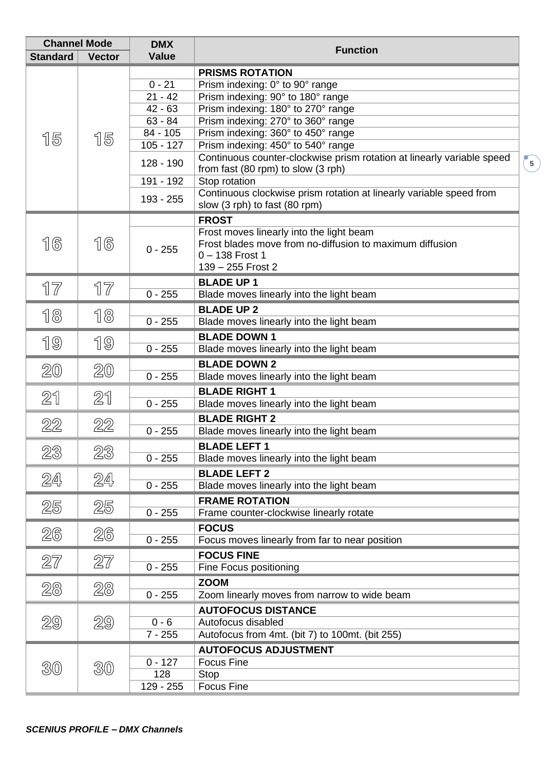| <b>Channel Mode</b> |               | <b>DMX</b>           | <b>Function</b>                                                        |  |  |  |
|---------------------|---------------|----------------------|------------------------------------------------------------------------|--|--|--|
| <b>Standard</b>     | <b>Vector</b> | <b>Value</b>         |                                                                        |  |  |  |
|                     |               |                      | <b>PRISMS ROTATION</b>                                                 |  |  |  |
|                     |               | $0 - 21$             | Prism indexing: 0° to 90° range                                        |  |  |  |
|                     |               | $21 - 42$            | Prism indexing: 90° to 180° range                                      |  |  |  |
|                     |               | $42 - 63$            | Prism indexing: 180° to 270° range                                     |  |  |  |
|                     |               | $63 - 84$            | Prism indexing: 270° to 360° range                                     |  |  |  |
| 15                  | 15            | 84 - 105             | Prism indexing: 360° to 450° range                                     |  |  |  |
|                     |               | $105 - 127$          | Prism indexing: 450° to 540° range                                     |  |  |  |
|                     |               | 128 - 190            | Continuous counter-clockwise prism rotation at linearly variable speed |  |  |  |
|                     |               | 191 - 192            | from fast (80 rpm) to slow (3 rph)<br>Stop rotation                    |  |  |  |
|                     |               |                      | Continuous clockwise prism rotation at linearly variable speed from    |  |  |  |
|                     |               | 193 - 255            | slow (3 rph) to fast (80 rpm)                                          |  |  |  |
|                     |               |                      | <b>FROST</b>                                                           |  |  |  |
|                     |               |                      | Frost moves linearly into the light beam                               |  |  |  |
| 16                  | 16            | $0 - 255$            | Frost blades move from no-diffusion to maximum diffusion               |  |  |  |
|                     |               |                      | $0 - 138$ Frost 1                                                      |  |  |  |
|                     |               |                      | 139 - 255 Frost 2                                                      |  |  |  |
| 17                  | 17            |                      | <b>BLADE UP 1</b>                                                      |  |  |  |
|                     |               | $0 - 255$            | Blade moves linearly into the light beam                               |  |  |  |
| 18                  | 18            |                      | <b>BLADE UP 2</b>                                                      |  |  |  |
|                     |               | $0 - 255$            | Blade moves linearly into the light beam                               |  |  |  |
| 19                  | 19            |                      | <b>BLADE DOWN 1</b>                                                    |  |  |  |
|                     |               | $0 - 255$            | Blade moves linearly into the light beam                               |  |  |  |
| 20                  | 20            |                      | <b>BLADE DOWN 2</b>                                                    |  |  |  |
|                     |               | $0 - 255$            | Blade moves linearly into the light beam                               |  |  |  |
| 21                  | 21            |                      | <b>BLADE RIGHT 1</b>                                                   |  |  |  |
|                     |               | $0 - 255$            | Blade moves linearly into the light beam                               |  |  |  |
| 22                  | 22            |                      | <b>BLADE RIGHT 2</b>                                                   |  |  |  |
|                     |               | $0 - 255$            | Blade moves linearly into the light beam                               |  |  |  |
| 23                  | 23            |                      | <b>BLADE LEFT 1</b>                                                    |  |  |  |
|                     |               | $0 - 255$            | Blade moves linearly into the light beam                               |  |  |  |
| 24                  | 24            |                      | <b>BLADE LEFT 2</b>                                                    |  |  |  |
|                     |               | $0 - 255$            | Blade moves linearly into the light beam                               |  |  |  |
| 25                  | 25            |                      | <b>FRAME ROTATION</b>                                                  |  |  |  |
|                     |               | $0 - 255$            | Frame counter-clockwise linearly rotate                                |  |  |  |
| 26                  | 26            |                      | <b>FOCUS</b>                                                           |  |  |  |
|                     |               | $0 - 255$            | Focus moves linearly from far to near position                         |  |  |  |
| 27                  | 27            |                      | <b>FOCUS FINE</b>                                                      |  |  |  |
|                     |               | $0 - 255$            | Fine Focus positioning                                                 |  |  |  |
| 28                  | 28            |                      | <b>ZOOM</b>                                                            |  |  |  |
|                     |               | $0 - 255$            | Zoom linearly moves from narrow to wide beam                           |  |  |  |
|                     |               |                      | <b>AUTOFOCUS DISTANCE</b>                                              |  |  |  |
| 29                  | 29            | $0 - 6$<br>$7 - 255$ | Autofocus disabled<br>Autofocus from 4mt. (bit 7) to 100mt. (bit 255)  |  |  |  |
|                     |               |                      |                                                                        |  |  |  |
|                     |               | $0 - 127$            | <b>AUTOFOCUS ADJUSTMENT</b><br><b>Focus Fine</b>                       |  |  |  |
| 30                  | 30            | 128                  | Stop                                                                   |  |  |  |
|                     |               | 129 - 255            | <b>Focus Fine</b>                                                      |  |  |  |
|                     |               |                      |                                                                        |  |  |  |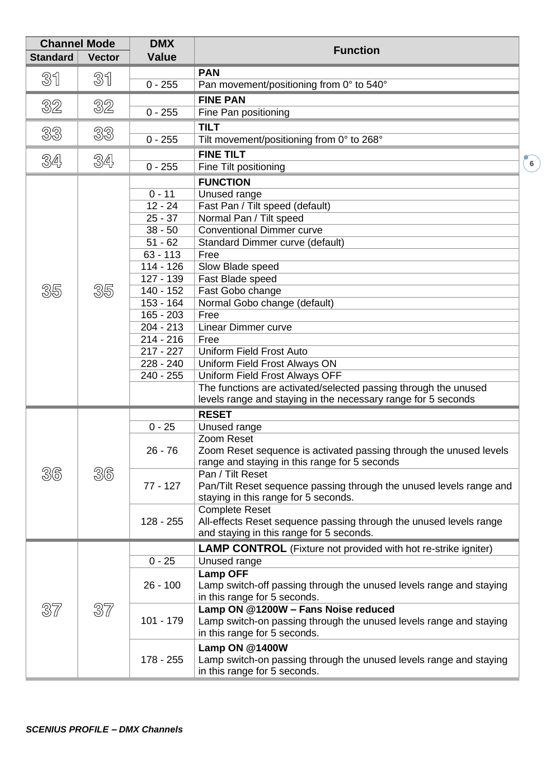|                 | <b>Channel Mode</b> | <b>DMX</b>            |                                                                       |                |  |  |  |  |
|-----------------|---------------------|-----------------------|-----------------------------------------------------------------------|----------------|--|--|--|--|
| <b>Standard</b> | <b>Vector</b>       | <b>Value</b>          | <b>Function</b>                                                       |                |  |  |  |  |
|                 |                     |                       | <b>PAN</b>                                                            |                |  |  |  |  |
| 31              | 31                  | $0 - 255$             | Pan movement/positioning from 0° to 540°                              |                |  |  |  |  |
|                 |                     |                       | <b>FINE PAN</b>                                                       |                |  |  |  |  |
| 32              | 32                  | $0 - 255$             | Fine Pan positioning                                                  |                |  |  |  |  |
|                 |                     |                       | <b>TILT</b>                                                           |                |  |  |  |  |
| 33              | 33                  | $0 - 255$             | Tilt movement/positioning from 0° to 268°                             |                |  |  |  |  |
|                 |                     |                       | <b>FINE TILT</b>                                                      |                |  |  |  |  |
| 34              | 34                  | $0 - 255$             | Fine Tilt positioning                                                 | 6 <sup>1</sup> |  |  |  |  |
|                 |                     |                       |                                                                       |                |  |  |  |  |
|                 |                     |                       | <b>FUNCTION</b>                                                       |                |  |  |  |  |
|                 |                     | $0 - 11$<br>$12 - 24$ | Unused range                                                          |                |  |  |  |  |
|                 |                     | $25 - 37$             | Fast Pan / Tilt speed (default)                                       |                |  |  |  |  |
|                 |                     |                       | Normal Pan / Tilt speed<br><b>Conventional Dimmer curve</b>           |                |  |  |  |  |
|                 |                     | $38 - 50$             |                                                                       |                |  |  |  |  |
|                 |                     | $51 - 62$             | Standard Dimmer curve (default)                                       |                |  |  |  |  |
|                 |                     | $63 - 113$            | Free                                                                  |                |  |  |  |  |
|                 |                     | $114 - 126$           | Slow Blade speed                                                      |                |  |  |  |  |
|                 |                     | 127 - 139             | Fast Blade speed                                                      |                |  |  |  |  |
| 35              | 35                  | 140 - 152             | Fast Gobo change                                                      |                |  |  |  |  |
|                 |                     | 153 - 164             | Normal Gobo change (default)                                          |                |  |  |  |  |
|                 |                     | $165 - 203$           | Free                                                                  |                |  |  |  |  |
|                 |                     | $204 - 213$           | <b>Linear Dimmer curve</b>                                            |                |  |  |  |  |
|                 |                     | $214 - 216$           | Free                                                                  |                |  |  |  |  |
|                 |                     | $217 - 227$           | Uniform Field Frost Auto                                              |                |  |  |  |  |
|                 |                     | 228 - 240             | <b>Uniform Field Frost Always ON</b>                                  |                |  |  |  |  |
|                 |                     | $240 - 255$           | Uniform Field Frost Always OFF                                        |                |  |  |  |  |
|                 |                     |                       | The functions are activated/selected passing through the unused       |                |  |  |  |  |
|                 |                     |                       | levels range and staying in the necessary range for 5 seconds         |                |  |  |  |  |
|                 |                     |                       | <b>RESET</b>                                                          |                |  |  |  |  |
|                 |                     | $0 - 25$              | Unused range                                                          |                |  |  |  |  |
|                 |                     |                       | Zoom Reset                                                            |                |  |  |  |  |
|                 |                     | $26 - 76$             | Zoom Reset sequence is activated passing through the unused levels    |                |  |  |  |  |
|                 |                     |                       | range and staying in this range for 5 seconds                         |                |  |  |  |  |
| 36              | 36                  |                       | Pan / Tilt Reset                                                      |                |  |  |  |  |
|                 |                     | 77 - 127              | Pan/Tilt Reset sequence passing through the unused levels range and   |                |  |  |  |  |
|                 |                     |                       | staying in this range for 5 seconds.                                  |                |  |  |  |  |
|                 |                     |                       | <b>Complete Reset</b>                                                 |                |  |  |  |  |
|                 |                     | 128 - 255             | All-effects Reset sequence passing through the unused levels range    |                |  |  |  |  |
|                 |                     |                       | and staying in this range for 5 seconds.                              |                |  |  |  |  |
|                 |                     |                       | <b>LAMP CONTROL</b> (Fixture not provided with hot re-strike igniter) |                |  |  |  |  |
|                 |                     | $0 - 25$              | Unused range                                                          |                |  |  |  |  |
|                 |                     |                       | <b>Lamp OFF</b>                                                       |                |  |  |  |  |
|                 |                     | $26 - 100$            | Lamp switch-off passing through the unused levels range and staying   |                |  |  |  |  |
|                 |                     |                       | in this range for 5 seconds.                                          |                |  |  |  |  |
| 37              | 37                  |                       | Lamp ON @1200W - Fans Noise reduced                                   |                |  |  |  |  |
|                 |                     | $101 - 179$           | Lamp switch-on passing through the unused levels range and staying    |                |  |  |  |  |
|                 |                     |                       | in this range for 5 seconds.                                          |                |  |  |  |  |
|                 |                     |                       | Lamp ON @1400W                                                        |                |  |  |  |  |
|                 |                     | 178 - 255             | Lamp switch-on passing through the unused levels range and staying    |                |  |  |  |  |
|                 |                     |                       | in this range for 5 seconds.                                          |                |  |  |  |  |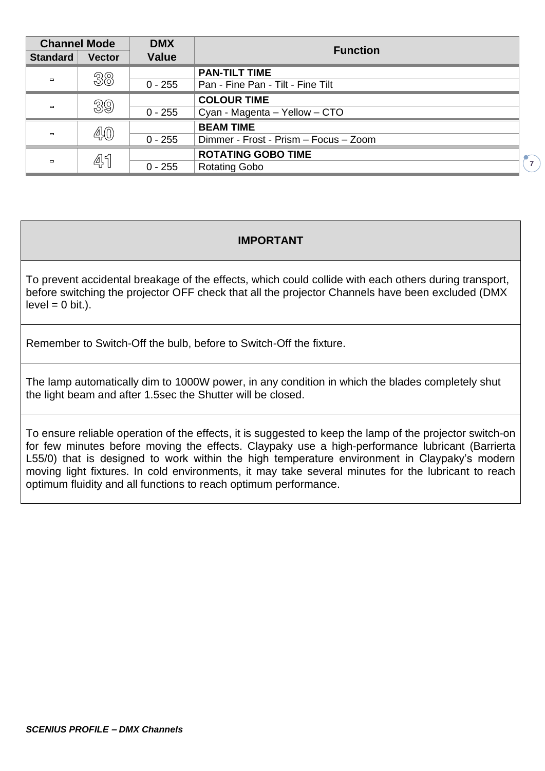| <b>Channel Mode</b> |                            | <b>DMX</b>   | <b>Function</b>                       |  |  |  |  |  |  |  |  |
|---------------------|----------------------------|--------------|---------------------------------------|--|--|--|--|--|--|--|--|
| <b>Standard</b>     | <b>Vector</b>              | <b>Value</b> |                                       |  |  |  |  |  |  |  |  |
|                     | 38                         |              | <b>PAN-TILT TIME</b>                  |  |  |  |  |  |  |  |  |
| $\blacksquare$      |                            | $0 - 255$    | Pan - Fine Pan - Tilt - Fine Tilt     |  |  |  |  |  |  |  |  |
|                     | 39                         |              | <b>COLOUR TIME</b>                    |  |  |  |  |  |  |  |  |
| $\Box$              |                            | $0 - 255$    | Cyan - Magenta - Yellow - CTO         |  |  |  |  |  |  |  |  |
|                     | $\mathbb{A}(\overline{0})$ |              | <b>BEAM TIME</b>                      |  |  |  |  |  |  |  |  |
| $\Box$              |                            | $0 - 255$    | Dimmer - Frost - Prism - Focus - Zoom |  |  |  |  |  |  |  |  |
|                     | 45                         |              | <b>ROTATING GOBO TIME</b>             |  |  |  |  |  |  |  |  |
| $\Box$              |                            | $0 - 255$    | <b>Rotating Gobo</b>                  |  |  |  |  |  |  |  |  |

**7**

## **IMPORTANT**

To prevent accidental breakage of the effects, which could collide with each others during transport, before switching the projector OFF check that all the projector Channels have been excluded (DMX  $level = 0 bit.$ ).

Remember to Switch-Off the bulb, before to Switch-Off the fixture.

The lamp automatically dim to 1000W power, in any condition in which the blades completely shut the light beam and after 1.5sec the Shutter will be closed.

To ensure reliable operation of the effects, it is suggested to keep the lamp of the projector switch-on for few minutes before moving the effects. Claypaky use a high-performance lubricant (Barrierta L55/0) that is designed to work within the high temperature environment in Claypaky's modern moving light fixtures. In cold environments, it may take several minutes for the lubricant to reach optimum fluidity and all functions to reach optimum performance.